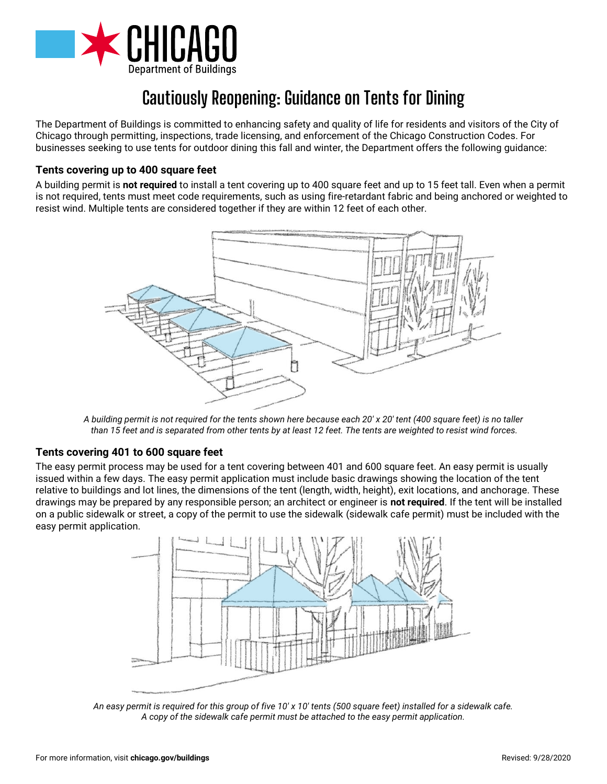

# **Cautiously Reopening: Guidance on Tents for Dining**

The Department of Buildings is committed to enhancing safety and quality of life for residents and visitors of the City of Chicago through permitting, inspections, trade licensing, and enforcement of the Chicago Construction Codes. For businesses seeking to use tents for outdoor dining this fall and winter, the Department offers the following guidance:

# **Tents covering up to 400 square feet**

A building permit is **not required** to install a tent covering up to 400 square feet and up to 15 feet tall. Even when a permit is not required, tents must meet code requirements, such as using fire-retardant fabric and being anchored or weighted to resist wind. Multiple tents are considered together if they are within 12 feet of each other.



*A building permit is not required for the tents shown here because each 20' x 20' tent (400 square feet) is no taller than 15 feet and is separated from other tents by at least 12 feet. The tents are weighted to resist wind forces.*

## **Tents covering 401 to 600 square feet**

The easy permit process may be used for a tent covering between 401 and 600 square feet. An easy permit is usually issued within a few days. The easy permit application must include basic drawings showing the location of the tent relative to buildings and lot lines, the dimensions of the tent (length, width, height), exit locations, and anchorage. These drawings may be prepared by any responsible person; an architect or engineer is **not required**. If the tent will be installed on a public sidewalk or street, a copy of the permit to use the sidewalk (sidewalk cafe permit) must be included with the easy permit application.



*An easy permit is required for this group of five 10' x 10' tents (500 square feet) installed for a sidewalk cafe. A copy of the sidewalk cafe permit must be attached to the easy permit application.*